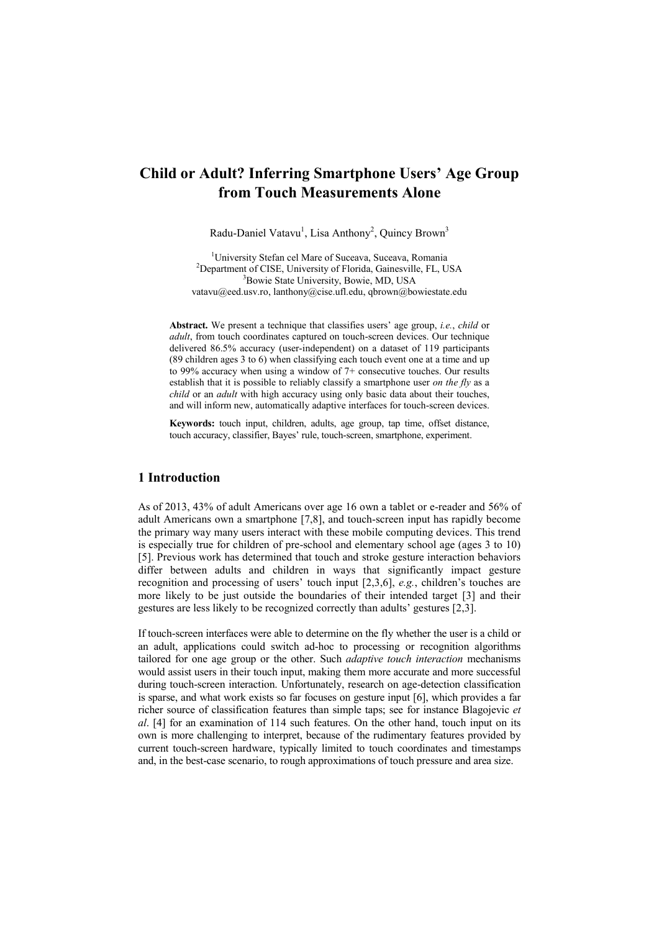# **Child or Adult? Inferring Smartphone Users' Age Group from Touch Measurements Alone**

Radu-Daniel Vatavu<sup>1</sup>, Lisa Anthony<sup>2</sup>, Quincy Brown<sup>3</sup>

<sup>1</sup>University Stefan cel Mare of Suceava, Suceava, Romania <sup>2</sup>Department of CISE, University of Florida, Gainesville, FL, USA <sup>3</sup>Bowie State University, Bowie, MD, USA [vatavu@eed.usv.ro,](mailto:vatavu@eed.usv.ro) lanthony@cise.ufl.edu, qbrown@bowiestate.edu

**Abstract.** We present a technique that classifies users' age group, *i.e.*, *child* or *adult*, from touch coordinates captured on touch-screen devices. Our technique delivered 86.5% accuracy (user-independent) on a dataset of 119 participants (89 children ages 3 to 6) when classifying each touch event one at a time and up to 99% accuracy when using a window of 7+ consecutive touches. Our results establish that it is possible to reliably classify a smartphone user *on the fly* as a *child* or an *adult* with high accuracy using only basic data about their touches, and will inform new, automatically adaptive interfaces for touch-screen devices.

**Keywords:** touch input, children, adults, age group, tap time, offset distance, touch accuracy, classifier, Bayes' rule, touch-screen, smartphone, experiment.

## **1 Introduction**

As of 2013, 43% of adult Americans over age 16 own a tablet or e-reader and 56% of adult Americans own a smartphone [7,8], and touch-screen input has rapidly become the primary way many users interact with these mobile computing devices. This trend is especially true for children of pre-school and elementary school age (ages 3 to 10) [5]. Previous work has determined that touch and stroke gesture interaction behaviors differ between adults and children in ways that significantly impact gesture recognition and processing of users' touch input [2,3,6], *e.g.*, children's touches are more likely to be just outside the boundaries of their intended target [3] and their gestures are less likely to be recognized correctly than adults' gestures [2,3].

If touch-screen interfaces were able to determine on the fly whether the user is a child or an adult, applications could switch ad-hoc to processing or recognition algorithms tailored for one age group or the other. Such *adaptive touch interaction* mechanisms would assist users in their touch input, making them more accurate and more successful during touch-screen interaction. Unfortunately, research on age-detection classification is sparse, and what work exists so far focuses on gesture input [6], which provides a far richer source of classification features than simple taps; see for instance Blagojevic *et al*. [4] for an examination of 114 such features. On the other hand, touch input on its own is more challenging to interpret, because of the rudimentary features provided by current touch-screen hardware, typically limited to touch coordinates and timestamps and, in the best-case scenario, to rough approximations of touch pressure and area size.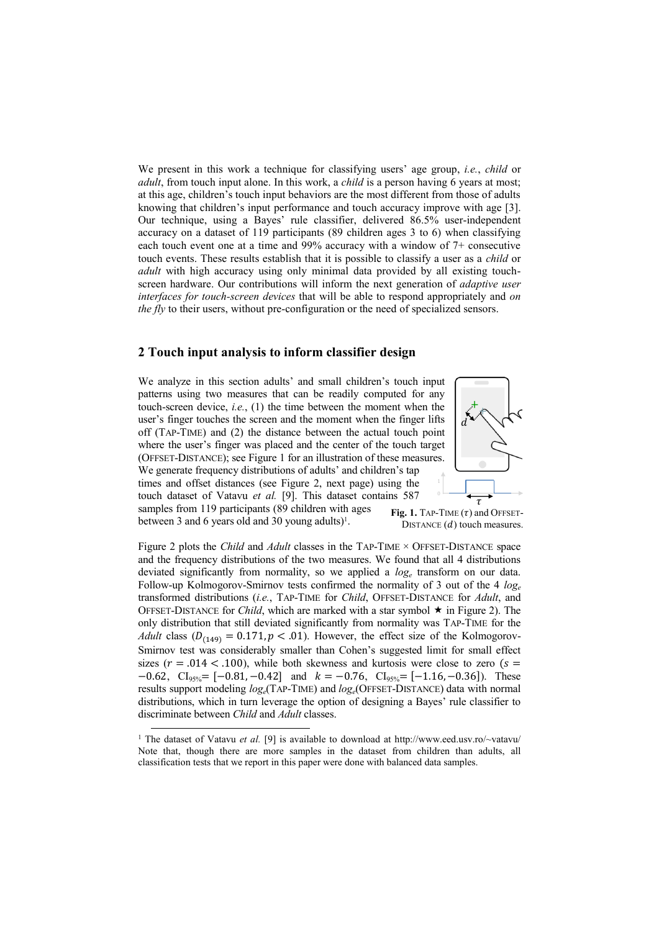We present in this work a technique for classifying users' age group, *i.e.*, *child* or *adult*, from touch input alone. In this work, a *child* is a person having 6 years at most; at this age, children's touch input behaviors are the most different from those of adults knowing that children's input performance and touch accuracy improve with age [3]. Our technique, using a Bayes' rule classifier, delivered 86.5% user-independent accuracy on a dataset of 119 participants (89 children ages 3 to 6) when classifying each touch event one at a time and 99% accuracy with a window of 7+ consecutive touch events. These results establish that it is possible to classify a user as a *child* or *adult* with high accuracy using only minimal data provided by all existing touchscreen hardware. Our contributions will inform the next generation of *adaptive user interfaces for touch-screen devices* that will be able to respond appropriately and *on the fly* to their users, without pre-configuration or the need of specialized sensors.

#### **2 Touch input analysis to inform classifier design**

We analyze in this section adults' and small children's touch input patterns using two measures that can be readily computed for any touch-screen device, *i.e.*, (1) the time between the moment when the user's finger touches the screen and the moment when the finger lifts off (TAP-TIME) and (2) the distance between the actual touch point where the user's finger was placed and the center of the touch target (OFFSET-DISTANCE); see Figure 1 for an illustration of these measures. We generate frequency distributions of adults' and children's tap times and offset distances (see Figure 2, next page) using the touch dataset of Vatavu *et al.* [9]. This dataset contains 587 samples from 119 participants (89 children with ages



between 3 and 6 years old and 30 young adults $)^1$ . Fig. 1. TAP-TIME  $(\tau)$  and OFFSET-DISTANCE  $(d)$  touch measures.

Figure 2 plots the *Child* and *Adult* classes in the TAP-TIME × OFFSET-DISTANCE space and the frequency distributions of the two measures. We found that all 4 distributions deviated significantly from normality, so we applied a *log<sup>e</sup>* transform on our data. Follow-up Kolmogorov-Smirnov tests confirmed the normality of 3 out of the 4 *log<sup>e</sup>* transformed distributions (*i.e.*, TAP-TIME for *Child*, OFFSET-DISTANCE for *Adult*, and OFFSET-DISTANCE for *Child*, which are marked with a star symbol  $\star$  in Figure 2). The only distribution that still deviated significantly from normality was TAP-TIME for the *Adult* class  $(D_{(149)} = 0.171, p < .01)$ . However, the effect size of the Kolmogorov-Smirnov test was considerably smaller than Cohen's suggested limit for small effect sizes ( $r = .014 < .100$ ), while both skewness and kurtosis were close to zero ( $s =$  $-0.62$ , CI<sub>95%</sub> =  $[-0.81, -0.42]$  and  $k = -0.76$ , CI<sub>95%</sub> =  $[-1.16, -0.36]$ ). These results support modeling *loge*(TAP-TIME) and *loge*(OFFSET-DISTANCE) data with normal distributions, which in turn leverage the option of designing a Bayes' rule classifier to discriminate between *Child* and *Adult* classes.

1

<sup>&</sup>lt;sup>1</sup> The dataset of Vatavu *et al.* [9] is available to download at<http://www.eed.usv.ro/~vatavu/> Note that, though there are more samples in the dataset from children than adults, all classification tests that we report in this paper were done with balanced data samples.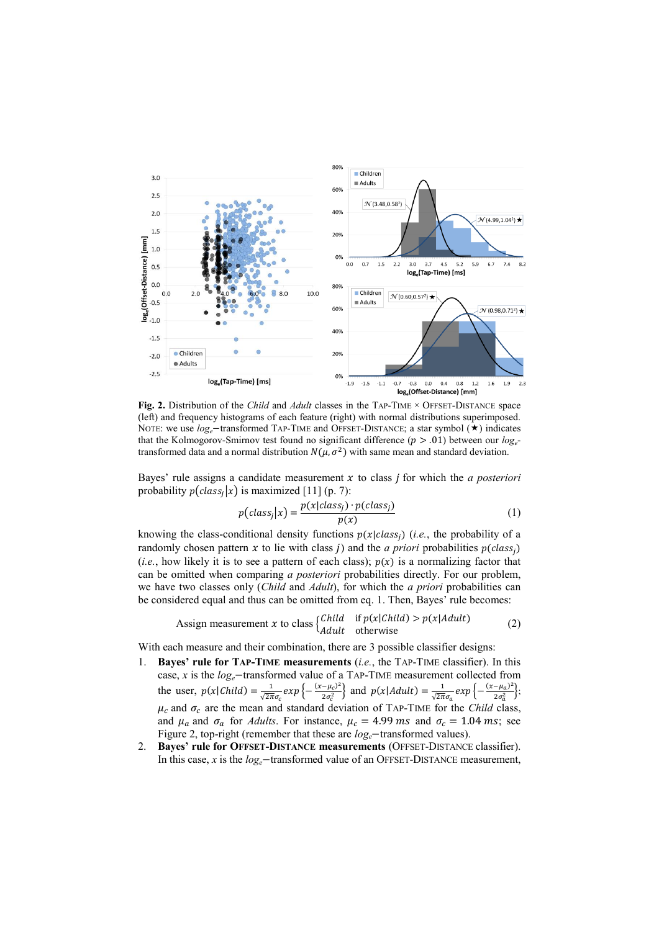

**Fig. 2.** Distribution of the *Child* and *Adult* classes in the TAP-TIME × OFFSET-DISTANCE space (left) and frequency histograms of each feature (right) with normal distributions superimposed. NOTE: we use  $log_e$ -transformed TAP-TIME and OFFSET-DISTANCE; a star symbol  $(\star)$  indicates that the Kolmogorov-Smirnov test found no significant difference ( $p > .01$ ) between our  $log_e$ transformed data and a normal distribution  $N(\mu, \sigma^2)$  with same mean and standard deviation.

Bayes' rule assigns a candidate measurement  $x$  to class  $j$  for which the  $a$  posteriori probability  $p(class<sub>i</sub>|x)$  is maximized [11] (p. 7):

$$
p(class_j|x) = \frac{p(x|class_j) \cdot p(class_j)}{p(x)}
$$
(1)

knowing the class-conditional density functions  $p(x|class_i)$  (*i.e.*, the probability of a randomly chosen pattern x to lie with class *j*) and the *a priori* probabilities  $p(class_j)$ (*i.e.*, how likely it is to see a pattern of each class);  $p(x)$  is a normalizing factor that can be omitted when comparing *a posteriori* probabilities directly. For our problem, we have two classes only (*Child* and *Adult*), for which the *a priori* probabilities can be considered equal and thus can be omitted from eq. 1. Then, Bayes' rule becomes:

Assign measurement 
$$
x
$$
 to class  $\begin{cases} Child & \text{if } p(x|Child) > p(x|Adult) \\ Adult & \text{otherwise} \end{cases}$  (2)

With each measure and their combination, there are 3 possible classifier designs:

- 1. **Bayes' rule for TAP-TIME measurements** (*i.e.*, the TAP-TIME classifier). In this case,  $x$  is the  $log_e$  transformed value of a TAP-TIME measurement collected from the user,  $p(x|Child) = \frac{1}{\sqrt{2\pi}}$  $\frac{1}{\sqrt{2\pi}\sigma_c} exp \left\{ - \frac{(x-\mu_c)^2}{2\sigma_c^2} \right\}$  $\left(\frac{-\mu_c^2}{2\sigma_c^2}\right)$  and  $p(x|Adult) = \frac{1}{\sqrt{2\pi}}$  $\frac{1}{\sqrt{2\pi}\sigma_a} exp \left\{-\frac{(x-\mu_a)^2}{2\sigma_a^2}\right\}$  $\frac{-\mu_a}{2\sigma_a^2}$ ;  $\mu_c$  and  $\sigma_c$  are the mean and standard deviation of TAP-TIME for the *Child* class, and  $\mu_a$  and  $\sigma_a$  for *Adults*. For instance,  $\mu_c = 4.99$  ms and  $\sigma_c = 1.04$  ms; see Figure 2, top-right (remember that these are  $log_e$  -transformed values).
- 2. **Bayes' rule for OFFSET-DISTANCE measurements** (OFFSET-DISTANCE classifier). In this case, *x* is the  $log_e$  transformed value of an OFFSET-DISTANCE measurement,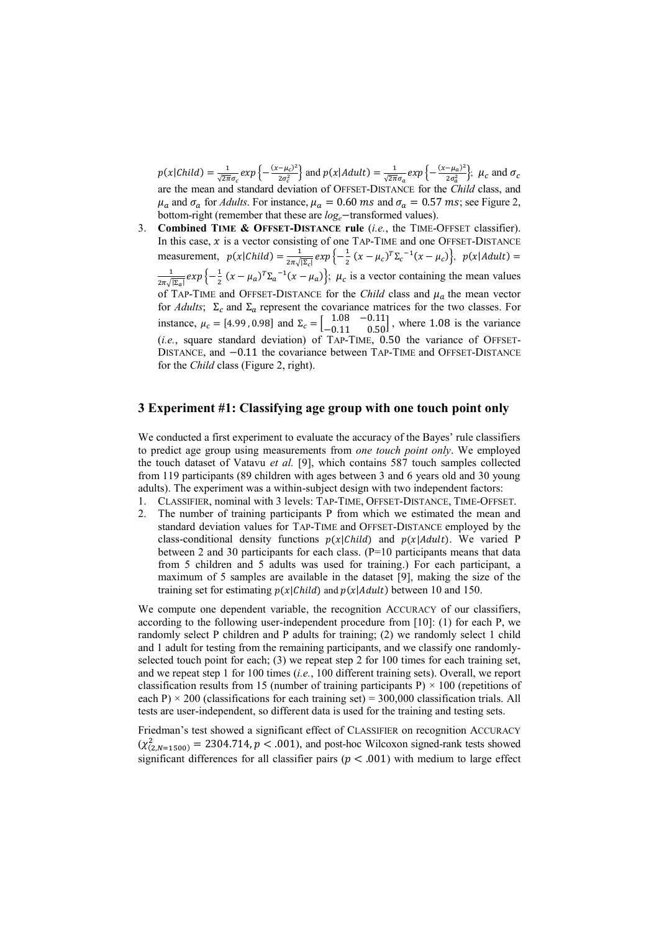$p(x|Child) = \frac{1}{\sqrt{2\pi}}$  $\frac{1}{\sqrt{2\pi}\sigma_c}exp\left\{-\frac{(x-\mu_c)^2}{2\sigma_c^2}\right\}$  $\left(\frac{(-\mu_c)^2}{2\sigma_c^2}\right)$  and  $p(x|Adult) = \frac{1}{\sqrt{2\pi}}$  $\frac{1}{\sqrt{2\pi}\sigma_a} exp \left\{ -\frac{(x-\mu_a)^2}{2\sigma_a^2} \right\}$  $\frac{-\mu_a}{2\sigma_a^2}$ ;  $\mu_c$  and are the mean and standard deviation of OFFSET-DISTANCE for the *Child* class, and  $\mu_a$  and  $\sigma_a$  for *Adults*. For instance,  $\mu_a = 0.60$  *ms* and  $\sigma_a = 0.57$  *ms*; see Figure 2, bottom-right (remember that these are  $log_e$ -transformed values).

3. **Combined TIME & OFFSET-DISTANCE rule** (*i.e.*, the TIME-OFFSET classifier). In this case,  $x$  is a vector consisting of one TAP-TIME and one OFFSET-DISTANCE measurement,  $p(x|Child) = \frac{1}{2\pi}$  $\frac{1}{2\pi\sqrt{|\Sigma_c|}}exp\left\{-\frac{1}{2}\right\}$  $\frac{1}{2}(x-\mu_c)^T\Sigma_c^{-1}(x-\mu_c)\Big\},\,$  $\mathbf{1}$  $\frac{1}{2\pi\sqrt{|\Sigma_a|}}exp\left\{-\frac{1}{2}\right\}$  $\frac{1}{2}$   $(x - \mu_a)^T \Sigma_a^{-1} (x - \mu_a)$ ;  $\mu_c$  is a vector containing the mean values of TAP-TIME and OFFSET-DISTANCE for the *Child* class and  $\mu_a$  the mean vector for *Adults*;  $\Sigma_c$  and  $\Sigma_a$  represent the covariance matrices for the two classes. For instance,  $\mu_c = [4.99, 0.98]$  and  $\Sigma_c = \begin{bmatrix} 1.08 & -0.11 \\ -0.11 & 0.50 \end{bmatrix}$ , where 1.08 is the variance (*i.e.*, square standard deviation) of TAP-TIME, 0.50 the variance of OFFSET-DISTANCE, and  $-0.11$  the covariance between TAP-TIME and OFFSET-DISTANCE for the *Child* class (Figure 2, right).

# **3 Experiment #1: Classifying age group with one touch point only**

We conducted a first experiment to evaluate the accuracy of the Bayes' rule classifiers to predict age group using measurements from *one touch point only*. We employed the touch dataset of Vatavu *et al.* [9], which contains 587 touch samples collected from 119 participants (89 children with ages between 3 and 6 years old and 30 young adults). The experiment was a within-subject design with two independent factors:

- 1. CLASSIFIER, nominal with 3 levels: TAP-TIME, OFFSET-DISTANCE, TIME-OFFSET.
- 2. The number of training participants P from which we estimated the mean and standard deviation values for TAP-TIME and OFFSET-DISTANCE employed by the class-conditional density functions  $p(x|Child)$  and  $p(x|Adult)$ . We varied P between 2 and 30 participants for each class. (P=10 participants means that data from 5 children and 5 adults was used for training.) For each participant, a maximum of 5 samples are available in the dataset [9], making the size of the training set for estimating  $p(x|Child)$  and  $p(x|Adult)$  between 10 and 150.

We compute one dependent variable, the recognition ACCURACY of our classifiers, according to the following user-independent procedure from [10]: (1) for each P, we randomly select P children and P adults for training; (2) we randomly select 1 child and 1 adult for testing from the remaining participants, and we classify one randomlyselected touch point for each;  $(3)$  we repeat step 2 for 100 times for each training set, and we repeat step 1 for 100 times (*i.e.*, 100 different training sets). Overall, we report classification results from 15 (number of training participants P)  $\times$  100 (repetitions of each P)  $\times$  200 (classifications for each training set) = 300,000 classification trials. All tests are user-independent, so different data is used for the training and testing sets.

Friedman's test showed a significant effect of CLASSIFIER on recognition ACCURACY  $(\chi^2_{(2, N=1500)})$  = 2304.714, p < .001), and post-hoc Wilcoxon signed-rank tests showed significant differences for all classifier pairs ( $p < .001$ ) with medium to large effect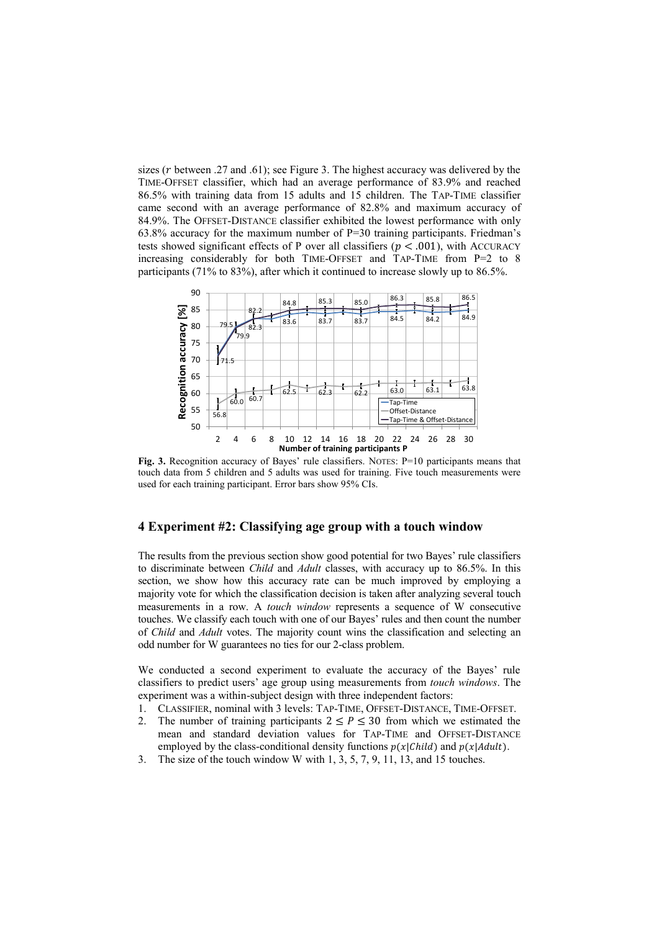sizes ( $r$  between .27 and .61); see Figure 3. The highest accuracy was delivered by the TIME-OFFSET classifier, which had an average performance of 83.9% and reached 86.5% with training data from 15 adults and 15 children. The TAP-TIME classifier came second with an average performance of 82.8% and maximum accuracy of 84.9%. The OFFSET-DISTANCE classifier exhibited the lowest performance with only  $63.8\%$  accuracy for the maximum number of P=30 training participants. Friedman's tests showed significant effects of P over all classifiers ( $p < .001$ ), with ACCURACY increasing considerably for both TIME-OFFSET and TAP-TIME from P=2 to 8 participants (71% to 83%), after which it continued to increase slowly up to 86.5%.



**Fig. 3.** Recognition accuracy of Bayes' rule classifiers. NOTES: P=10 participants means that touch data from 5 children and 5 adults was used for training. Five touch measurements were used for each training participant. Error bars show 95% CIs.

### **4 Experiment #2: Classifying age group with a touch window**

The results from the previous section show good potential for two Bayes' rule classifiers to discriminate between *Child* and *Adult* classes, with accuracy up to 86.5%. In this section, we show how this accuracy rate can be much improved by employing a majority vote for which the classification decision is taken after analyzing several touch measurements in a row. A *touch window* represents a sequence of W consecutive touches. We classify each touch with one of our Bayes' rules and then count the number of *Child* and *Adult* votes. The majority count wins the classification and selecting an odd number for W guarantees no ties for our 2-class problem.

We conducted a second experiment to evaluate the accuracy of the Bayes' rule classifiers to predict users' age group using measurements from *touch windows*. The experiment was a within-subject design with three independent factors:

- 1. CLASSIFIER, nominal with 3 levels: TAP-TIME, OFFSET-DISTANCE, TIME-OFFSET.
- 2. The number of training participants  $2 \le P \le 30$  from which we estimated the mean and standard deviation values for TAP-TIME and OFFSET-DISTANCE employed by the class-conditional density functions  $p(x|Child)$  and  $p(x|Adult)$ .
- 3. The size of the touch window W with 1, 3, 5, 7, 9, 11, 13, and 15 touches.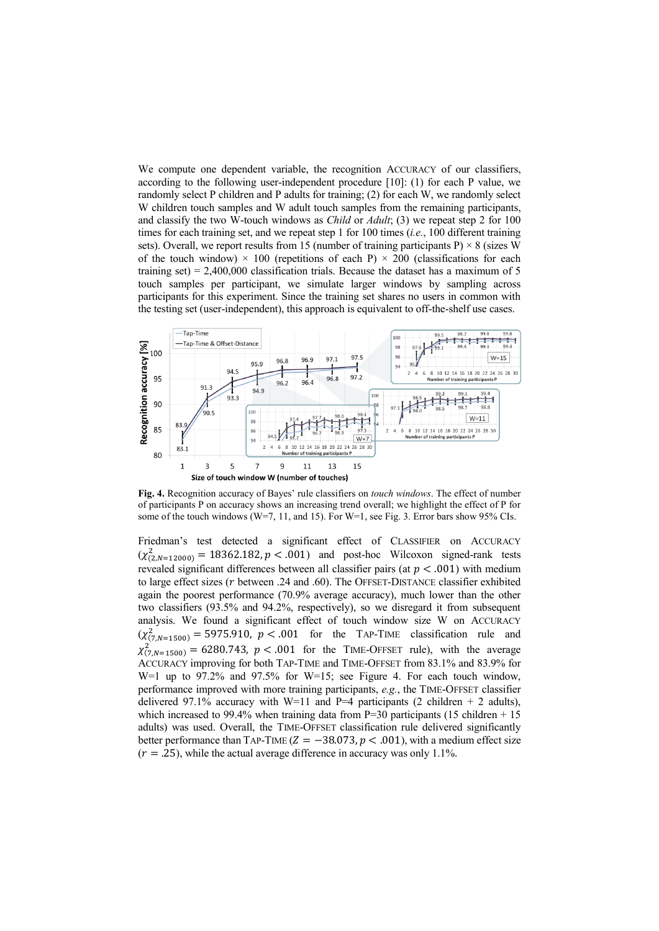We compute one dependent variable, the recognition ACCURACY of our classifiers, according to the following user-independent procedure [10]: (1) for each P value, we randomly select P children and P adults for training; (2) for each W, we randomly select W children touch samples and W adult touch samples from the remaining participants, and classify the two W-touch windows as *Child* or *Adult*; (3) we repeat step 2 for 100 times for each training set, and we repeat step 1 for 100 times (*i.e.*, 100 different training sets). Overall, we report results from 15 (number of training participants P)  $\times$  8 (sizes W of the touch window)  $\times$  100 (repetitions of each P)  $\times$  200 (classifications for each training set) =  $2,400,000$  classification trials. Because the dataset has a maximum of 5 touch samples per participant, we simulate larger windows by sampling across participants for this experiment. Since the training set shares no users in common with the testing set (user-independent), this approach is equivalent to off-the-shelf use cases.



**Fig. 4.** Recognition accuracy of Bayes' rule classifiers on *touch windows*. The effect of number of participants P on accuracy shows an increasing trend overall; we highlight the effect of P for some of the touch windows (W=7, 11, and 15). For W=1, see Fig. 3. Error bars show 95% CIs.

Friedman's test detected a significant effect of CLASSIFIER on ACCURACY  $(\chi^2_{(2,N=12000)} = 18362.182, p < .001)$  and post-hoc Wilcoxon signed-rank tests revealed significant differences between all classifier pairs (at  $p < .001$ ) with medium to large effect sizes ( $r$  between .24 and .60). The OFFSET-DISTANCE classifier exhibited again the poorest performance (70.9% average accuracy), much lower than the other two classifiers (93.5% and 94.2%, respectively), so we disregard it from subsequent analysis. We found a significant effect of touch window size W on ACCURACY  $(\chi^2_{(7,N=1500)} = 5975.910, p < .001$  for the TAP-TIME classification rule and  $\chi^2_{(7,N=1500)} = 6280.743$ ,  $p < .001$  for the TIME-OFFSET rule), with the average ACCURACY improving for both TAP-TIME and TIME-OFFSET from 83.1% and 83.9% for W=1 up to 97.2% and 97.5% for W=15; see Figure 4. For each touch window, performance improved with more training participants, *e.g.*, the TIME-OFFSET classifier delivered 97.1% accuracy with W=11 and P=4 participants (2 children + 2 adults), which increased to 99.4% when training data from  $P=30$  participants (15 children + 15) adults) was used. Overall, the TIME-OFFSET classification rule delivered significantly better performance than TAP-TIME ( $Z = -38.073$ ,  $p < .001$ ), with a medium effect size  $(r = .25)$ , while the actual average difference in accuracy was only 1.1%.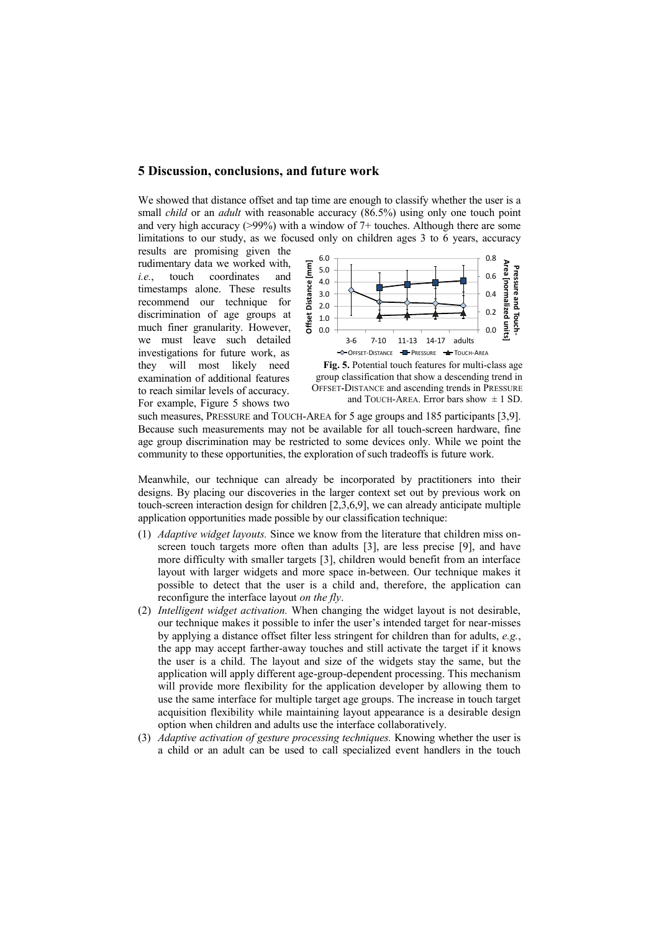#### **5 Discussion, conclusions, and future work**

We showed that distance offset and tap time are enough to classify whether the user is a small *child* or an *adult* with reasonable accuracy (86.5%) using only one touch point and very high accuracy (>99%) with a window of 7+ touches. Although there are some limitations to our study, as we focused only on children ages 3 to 6 years, accuracy

results are promising given the rudimentary data we worked with, *i.e.*, touch coordinates and timestamps alone. These results recommend our technique for discrimination of age groups at much finer granularity. However, we must leave such detailed investigations for future work, as they will most likely need examination of additional features to reach similar levels of accuracy. For example, Figure 5 shows two





such measures, PRESSURE and TOUCH-AREA for 5 age groups and 185 participants [3,9]. Because such measurements may not be available for all touch-screen hardware, fine age group discrimination may be restricted to some devices only. While we point the community to these opportunities, the exploration of such tradeoffs is future work.

Meanwhile, our technique can already be incorporated by practitioners into their designs. By placing our discoveries in the larger context set out by previous work on touch-screen interaction design for children [2,3,6,9], we can already anticipate multiple application opportunities made possible by our classification technique:

- (1) *Adaptive widget layouts.* Since we know from the literature that children miss onscreen touch targets more often than adults [3], are less precise [9], and have more difficulty with smaller targets [3], children would benefit from an interface layout with larger widgets and more space in-between. Our technique makes it possible to detect that the user is a child and, therefore, the application can reconfigure the interface layout *on the fly*.
- (2) *Intelligent widget activation.* When changing the widget layout is not desirable, our technique makes it possible to infer the user's intended target for near-misses by applying a distance offset filter less stringent for children than for adults, *e.g.*, the app may accept farther-away touches and still activate the target if it knows the user is a child. The layout and size of the widgets stay the same, but the application will apply different age-group-dependent processing. This mechanism will provide more flexibility for the application developer by allowing them to use the same interface for multiple target age groups. The increase in touch target acquisition flexibility while maintaining layout appearance is a desirable design option when children and adults use the interface collaboratively.
- (3) *Adaptive activation of gesture processing techniques.* Knowing whether the user is a child or an adult can be used to call specialized event handlers in the touch